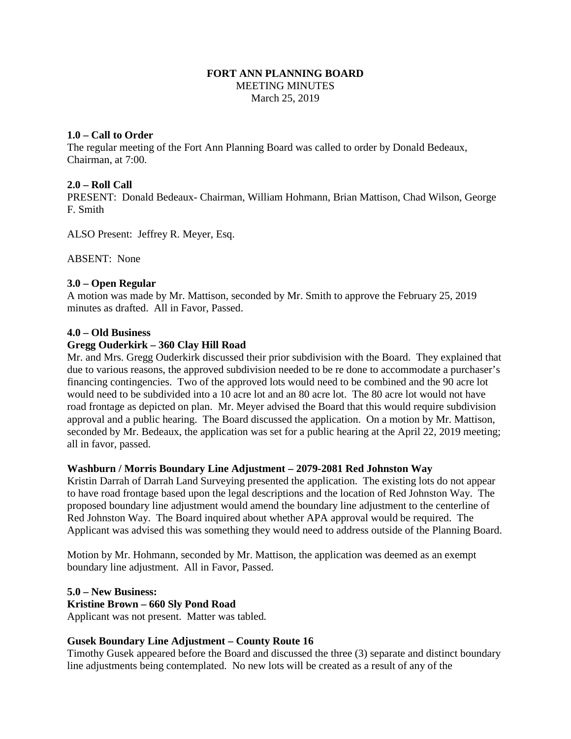## **FORT ANN PLANNING BOARD** MEETING MINUTES March 25, 2019

## **1.0 – Call to Order**

The regular meeting of the Fort Ann Planning Board was called to order by Donald Bedeaux, Chairman, at 7:00.

## **2.0 – Roll Call**

PRESENT: Donald Bedeaux- Chairman, William Hohmann, Brian Mattison, Chad Wilson, George F. Smith

ALSO Present: Jeffrey R. Meyer, Esq.

ABSENT: None

## **3.0 – Open Regular**

A motion was made by Mr. Mattison, seconded by Mr. Smith to approve the February 25, 2019 minutes as drafted. All in Favor, Passed.

### **4.0 – Old Business**

## **Gregg Ouderkirk – 360 Clay Hill Road**

Mr. and Mrs. Gregg Ouderkirk discussed their prior subdivision with the Board. They explained that due to various reasons, the approved subdivision needed to be re done to accommodate a purchaser's financing contingencies. Two of the approved lots would need to be combined and the 90 acre lot would need to be subdivided into a 10 acre lot and an 80 acre lot. The 80 acre lot would not have road frontage as depicted on plan. Mr. Meyer advised the Board that this would require subdivision approval and a public hearing. The Board discussed the application. On a motion by Mr. Mattison, seconded by Mr. Bedeaux, the application was set for a public hearing at the April 22, 2019 meeting; all in favor, passed.

### **Washburn / Morris Boundary Line Adjustment – 2079-2081 Red Johnston Way**

Kristin Darrah of Darrah Land Surveying presented the application. The existing lots do not appear to have road frontage based upon the legal descriptions and the location of Red Johnston Way. The proposed boundary line adjustment would amend the boundary line adjustment to the centerline of Red Johnston Way. The Board inquired about whether APA approval would be required. The Applicant was advised this was something they would need to address outside of the Planning Board.

Motion by Mr. Hohmann, seconded by Mr. Mattison, the application was deemed as an exempt boundary line adjustment. All in Favor, Passed.

**5.0 – New Business:**

### **Kristine Brown – 660 Sly Pond Road**

Applicant was not present. Matter was tabled.

# **Gusek Boundary Line Adjustment – County Route 16**

Timothy Gusek appeared before the Board and discussed the three (3) separate and distinct boundary line adjustments being contemplated. No new lots will be created as a result of any of the